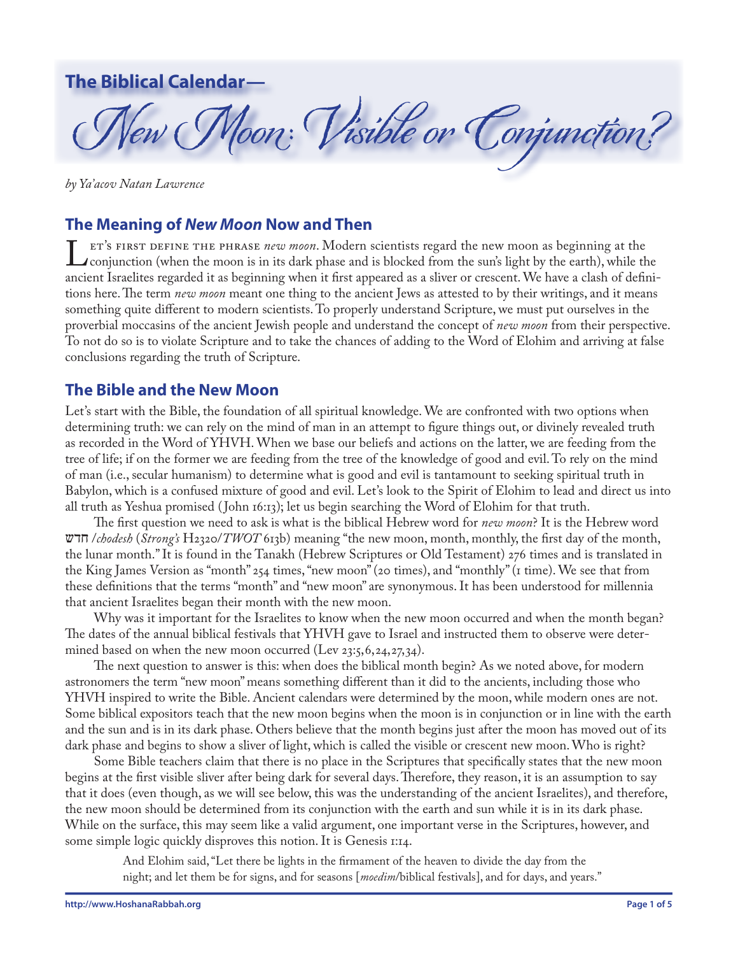# **The Biblical Calendar—**

New Moon: Visible or Conjunction ?

*by Ya'acov Natan Lawrence*

## **The Meaning of** *New Moon* **Now and Then**

ET'S FIRST DEFINE THE PHRASE *new moon*. Modern scientists regard the new moon as beginning at the conjunction (when the moon is in its dark phase and is blocked from the sun's light by the earth), while the ancient Israel ancient Israelites regarded it as beginning when it first appeared as a sliver or crescent. We have a clash of definitions here. The term *new moon* meant one thing to the ancient Jews as attested to by their writings, and it means something quite different to modern scientists. To properly understand Scripture, we must put ourselves in the proverbial moccasins of the ancient Jewish people and understand the concept of *new moon* from their perspective. To not do so is to violate Scripture and to take the chances of adding to the Word of Elohim and arriving at false conclusions regarding the truth of Scripture.

## **The Bible and the New Moon**

Let's start with the Bible, the foundation of all spiritual knowledge. We are confronted with two options when determining truth: we can rely on the mind of man in an attempt to figure things out, or divinely revealed truth as recorded in the Word of YHVH. When we base our beliefs and actions on the latter, we are feeding from the tree of life; if on the former we are feeding from the tree of the knowledge of good and evil. To rely on the mind of man (i.e., secular humanism) to determine what is good and evil is tantamount to seeking spiritual truth in Babylon, which is a confused mixture of good and evil. Let's look to the Spirit of Elohim to lead and direct us into all truth as Yeshua promised ( John 16:13); let us begin searching the Word of Elohim for that truth.

The first question we need to ask is what is the biblical Hebrew word for *new moon*? It is the Hebrew word aSJ /*chodesh* (*Strong's* H2320/*TWOT* 613b) meaning "the new moon, month, monthly, the first day of the month, the lunar month." It is found in the Tanakh (Hebrew Scriptures or Old Testament) 276 times and is translated in the King James Version as "month" 254 times, "new moon" (20 times), and "monthly" (1 time). We see that from these definitions that the terms "month" and "new moon" are synonymous. It has been understood for millennia that ancient Israelites began their month with the new moon.

Why was it important for the Israelites to know when the new moon occurred and when the month began? The dates of the annual biblical festivals that YHVH gave to Israel and instructed them to observe were determined based on when the new moon occurred (Lev 23:5, 6, 24, 27, 34).

The next question to answer is this: when does the biblical month begin? As we noted above, for modern astronomers the term "new moon" means something different than it did to the ancients, including those who YHVH inspired to write the Bible. Ancient calendars were determined by the moon, while modern ones are not. Some biblical expositors teach that the new moon begins when the moon is in conjunction or in line with the earth and the sun and is in its dark phase. Others believe that the month begins just after the moon has moved out of its dark phase and begins to show a sliver of light, which is called the visible or crescent new moon. Who is right?

Some Bible teachers claim that there is no place in the Scriptures that specifically states that the new moon begins at the first visible sliver after being dark for several days. Therefore, they reason, it is an assumption to say that it does (even though, as we will see below, this was the understanding of the ancient Israelites), and therefore, the new moon should be determined from its conjunction with the earth and sun while it is in its dark phase. While on the surface, this may seem like a valid argument, one important verse in the Scriptures, however, and some simple logic quickly disproves this notion. It is Genesis 1:14.

And Elohim said, "Let there be lights in the firmament of the heaven to divide the day from the night; and let them be for signs, and for seasons [*moedim*/biblical festivals], and for days, and years."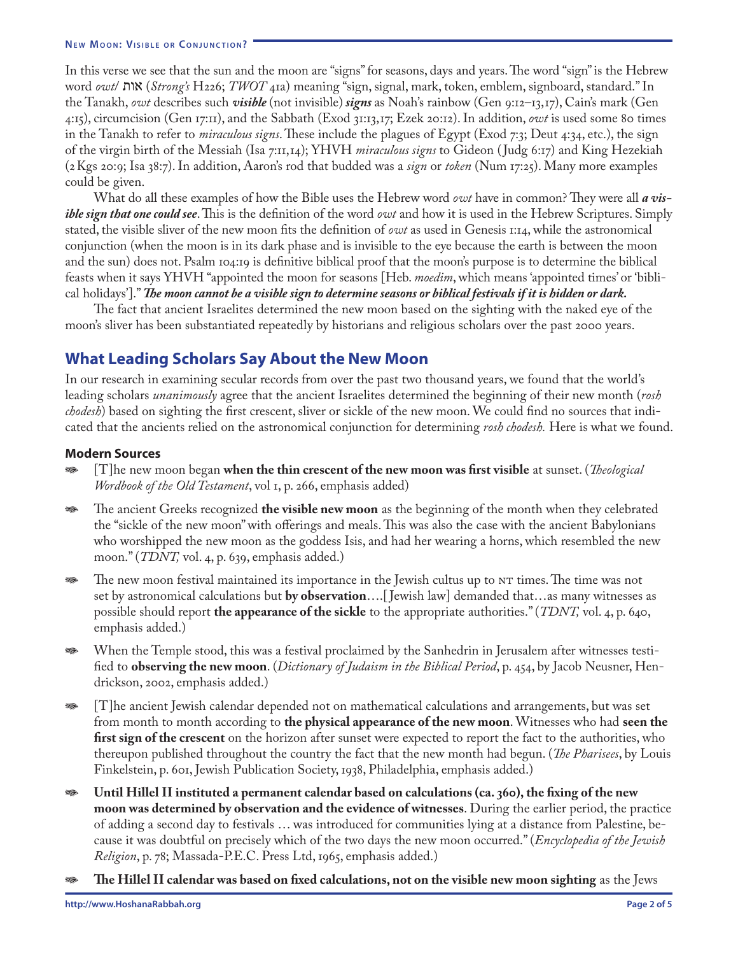In this verse we see that the sun and the moon are "signs" for seasons, days and years. The word "sign" is the Hebrew word *owt*/ **X**IIX (*Strong's* H226; *TWOT* 41a) meaning "sign, signal, mark, token, emblem, signboard, standard." In the Tanakh, *owt* describes such *visible* (not invisible) *signs* as Noah's rainbow (Gen 9:12–13,17), Cain's mark (Gen 4:15), circumcision (Gen 17:11), and the Sabbath (Exod 31:13,17; Ezek 20:12). In addition, *owt* is used some 80 times in the Tanakh to refer to *miraculous signs*. These include the plagues of Egypt (Exod 7:3; Deut 4:34, etc.), the sign of the virgin birth of the Messiah (Isa 7:11,14); YHVH *miraculous signs* to Gideon ( Judg 6:17) and King Hezekiah (2Kgs 20:9; Isa 38:7). In addition, Aaron's rod that budded was a *sign* or *token* (Num 17:25). Many more examples could be given.

What do all these examples of how the Bible uses the Hebrew word *owt* have in common? They were all *a visible sign that one could see*. This is the definition of the word *owt* and how it is used in the Hebrew Scriptures. Simply stated, the visible sliver of the new moon fits the definition of *owt* as used in Genesis 1:14, while the astronomical conjunction (when the moon is in its dark phase and is invisible to the eye because the earth is between the moon and the sun) does not. Psalm 104:19 is definitive biblical proof that the moon's purpose is to determine the biblical feasts when it says YHVH "appointed the moon for seasons [Heb. *moedim*, which means 'appointed times' or 'biblical holidays']." *The moon cannot be a visible sign to determine seasons or biblical festivals if it is hidden or dark.*

The fact that ancient Israelites determined the new moon based on the sighting with the naked eye of the moon's sliver has been substantiated repeatedly by historians and religious scholars over the past 2000 years.

## **What Leading Scholars Say About the New Moon**

In our research in examining secular records from over the past two thousand years, we found that the world's leading scholars *unanimously* agree that the ancient Israelites determined the beginning of their new month (*rosh chodesh*) based on sighting the first crescent, sliver or sickle of the new moon. We could find no sources that indicated that the ancients relied on the astronomical conjunction for determining *rosh chodesh.* Here is what we found.

### **Modern Sources**

- U [T]he new moon began **when the thin crescent of the new moon was first visible** at sunset. (*Theological Wordbook of the Old Testament*, vol 1, p. 266, emphasis added)
- U The ancient Greeks recognized **the visible new moon** as the beginning of the month when they celebrated the "sickle of the new moon" with offerings and meals. This was also the case with the ancient Babylonians who worshipped the new moon as the goddess Isis, and had her wearing a horns, which resembled the new moon." (*TDNT,* vol. 4, p. 639, emphasis added.)
- U The new moon festival maintained its importance in the Jewish cultus up to NT times. The time was not set by astronomical calculations but **by observation**….[ Jewish law] demanded that…as many witnesses as possible should report **the appearance of the sickle** to the appropriate authorities." (*TDNT,* vol. 4, p. 640, emphasis added.)
- U When the Temple stood, this was a festival proclaimed by the Sanhedrin in Jerusalem after witnesses testified to **observing the new moon**. (*Dictionary of Judaism in the Biblical Period*, p. 454, by Jacob Neusner, Hendrickson, 2002, emphasis added.)
- U [T]he ancient Jewish calendar depended not on mathematical calculations and arrangements, but was set from month to month according to **the physical appearance of the new moon**. Witnesses who had **seen the first sign of the crescent** on the horizon after sunset were expected to report the fact to the authorities, who thereupon published throughout the country the fact that the new month had begun. (*The Pharisees*, by Louis Finkelstein, p. 601, Jewish Publication Society, 1938, Philadelphia, emphasis added.)
- U **Until Hillel II instituted a permanent calendar based on calculations (ca. 360), the fixing of the new moon was determined by observation and the evidence of witnesses**. During the earlier period, the practice of adding a second day to festivals … was introduced for communities lying at a distance from Palestine, because it was doubtful on precisely which of the two days the new moon occurred." (*Encyclopedia of the Jewish Religion*, p. 78; Massada-P.E.C. Press Ltd, 1965, emphasis added.)
- U **The Hillel II calendar was based on fixed calculations, not on the visible new moon sighting** as the Jews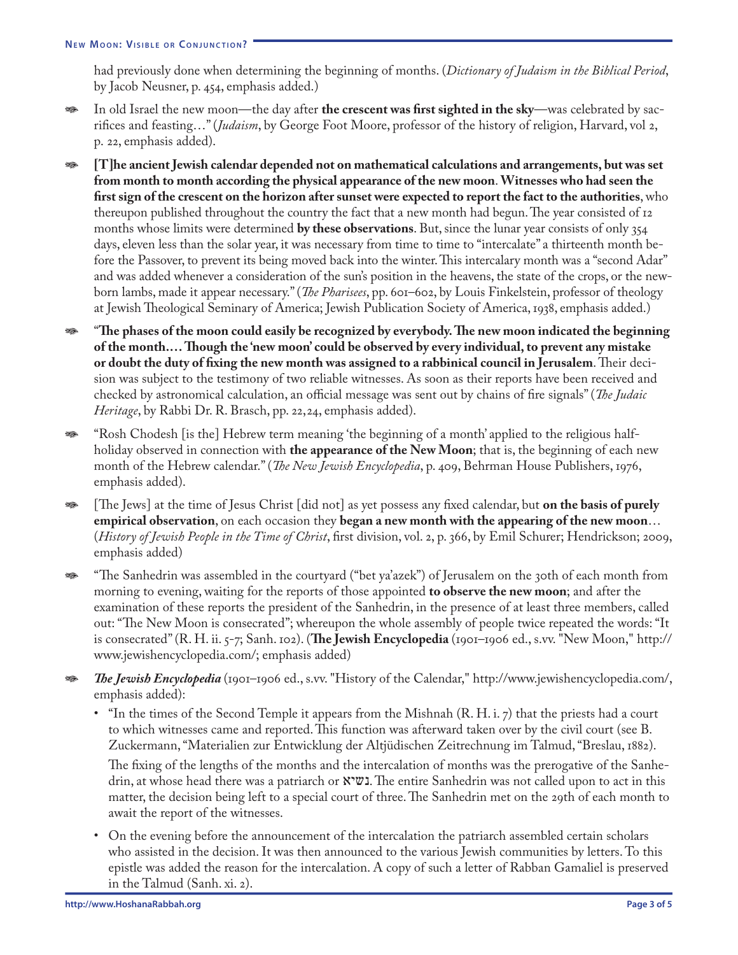had previously done when determining the beginning of months. (*Dictionary of Judaism in the Biblical Period*, by Jacob Neusner, p. 454, emphasis added.)

- In old Israel the new moon—the day after **the crescent was first sighted in the sky**—was celebrated by sacrifices and feasting…" (*Judaism*, by George Foot Moore, professor of the history of religion, Harvard, vol 2, p. 22, emphasis added).
- U **[T]he ancient Jewish calendar depended not on mathematical calculations and arrangements, but was set from month to month according the physical appearance of the new moon**. **Witnesses who had seen the first sign of the crescent on the horizon after sunset were expected to report the fact to the authorities**, who thereupon published throughout the country the fact that a new month had begun. The year consisted of 12 months whose limits were determined **by these observations**. But, since the lunar year consists of only 354 days, eleven less than the solar year, it was necessary from time to time to "intercalate" a thirteenth month before the Passover, to prevent its being moved back into the winter. This intercalary month was a "second Adar" and was added whenever a consideration of the sun's position in the heavens, the state of the crops, or the newborn lambs, made it appear necessary." (*The Pharisees*, pp. 601–602, by Louis Finkelstein, professor of theology at Jewish Theological Seminary of America; Jewish Publication Society of America, 1938, emphasis added.)
- **EXECUTE:** "The phases of the moon could easily be recognized by everybody. The new moon indicated the beginning **of the month.… Though the 'new moon' could be observed by every individual, to prevent any mistake or doubt the duty of fixing the new month was assigned to a rabbinical council in Jerusalem**. Their decision was subject to the testimony of two reliable witnesses. As soon as their reports have been received and checked by astronomical calculation, an official message was sent out by chains of fire signals" (*The Judaic Heritage*, by Rabbi Dr. R. Brasch, pp. 22,24, emphasis added).
- U "Rosh Chodesh [is the] Hebrew term meaning 'the beginning of a month' applied to the religious halfholiday observed in connection with **the appearance of the New Moon**; that is, the beginning of each new month of the Hebrew calendar." (*The New Jewish Encyclopedia*, p. 409, Behrman House Publishers, 1976, emphasis added).
- U [The Jews] at the time of Jesus Christ [did not] as yet possess any fixed calendar, but **on the basis of purely empirical observation**, on each occasion they **began a new month with the appearing of the new moon**… (*History of Jewish People in the Time of Christ*, first division, vol. 2, p. 366, by Emil Schurer; Hendrickson; 2009, emphasis added)
- "The Sanhedrin was assembled in the courtyard ("bet ya'azek") of Jerusalem on the 30th of each month from morning to evening, waiting for the reports of those appointed **to observe the new moon**; and after the examination of these reports the president of the Sanhedrin, in the presence of at least three members, called out: "The New Moon is consecrated"; whereupon the whole assembly of people twice repeated the words: "It is consecrated" (R. H. ii. 5-7; Sanh. 102). (**The Jewish Encyclopedia** (1901–1906 ed., s.vv. "New Moon," http:// www.jewishencyclopedia.com/; emphasis added)
- U *The Jewish Encyclopedia* (1901–1906 ed., s.vv. "History of the Calendar," http://www.jewishencyclopedia.com/, emphasis added):
	- "In the times of the Second Temple it appears from the Mishnah (R. H. i. 7) that the priests had a court to which witnesses came and reported. This function was afterward taken over by the civil court (see B. Zuckermann, "Materialien zur Entwicklung der Altjüdischen Zeitrechnung im Talmud, "Breslau, 1882).

The fixing of the lengths of the months and the intercalation of months was the prerogative of the Sanhedrin, at whose head there was a patriarch or **"ע"ג. The entire Sanhedrin was not called upon to act in this** matter, the decision being left to a special court of three. The Sanhedrin met on the 29th of each month to await the report of the witnesses.

• On the evening before the announcement of the intercalation the patriarch assembled certain scholars who assisted in the decision. It was then announced to the various Jewish communities by letters. To this epistle was added the reason for the intercalation. A copy of such a letter of Rabban Gamaliel is preserved in the Talmud (Sanh. xi. 2).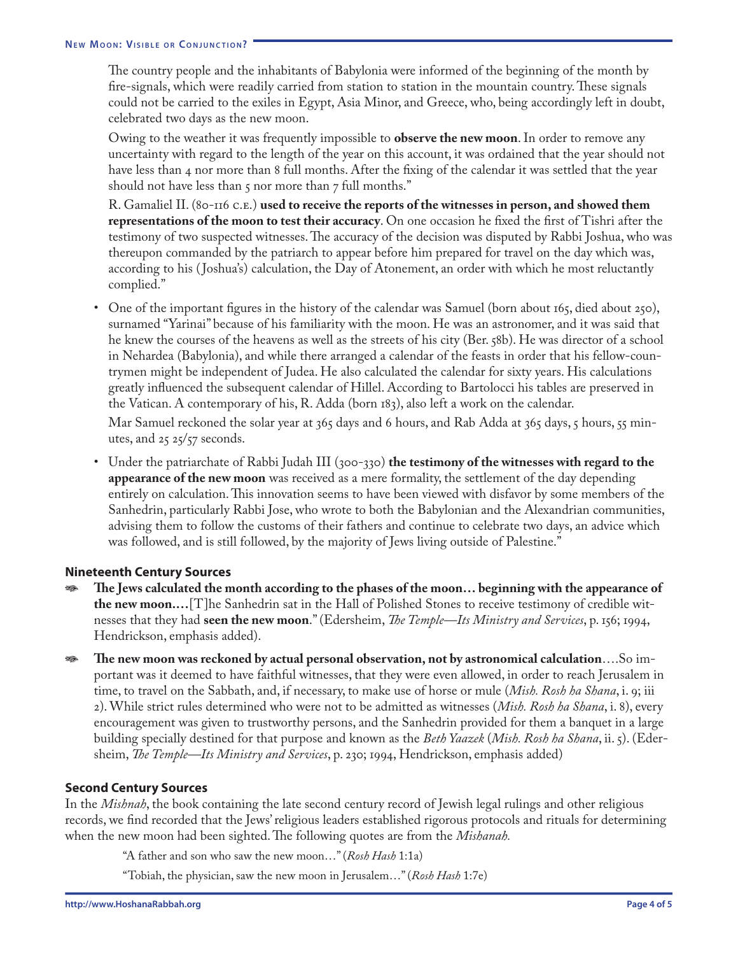The country people and the inhabitants of Babylonia were informed of the beginning of the month by fire-signals, which were readily carried from station to station in the mountain country. These signals could not be carried to the exiles in Egypt, Asia Minor, and Greece, who, being accordingly left in doubt, celebrated two days as the new moon.

Owing to the weather it was frequently impossible to **observe the new moon**. In order to remove any uncertainty with regard to the length of the year on this account, it was ordained that the year should not have less than 4 nor more than 8 full months. After the fixing of the calendar it was settled that the year should not have less than  $5$  nor more than  $7$  full months."

R. Gamaliel II. (80-116 C.E.) **used to receive the reports of the witnesses in person, and showed them representations of the moon to test their accuracy**. On one occasion he fixed the first of Tishri after the testimony of two suspected witnesses. The accuracy of the decision was disputed by Rabbi Joshua, who was thereupon commanded by the patriarch to appear before him prepared for travel on the day which was, according to his ( Joshua's) calculation, the Day of Atonement, an order with which he most reluctantly complied."

- One of the important figures in the history of the calendar was Samuel (born about 165, died about 250), surnamed "Yarinai" because of his familiarity with the moon. He was an astronomer, and it was said that he knew the courses of the heavens as well as the streets of his city (Ber. 58b). He was director of a school in Nehardea (Babylonia), and while there arranged a calendar of the feasts in order that his fellow-countrymen might be independent of Judea. He also calculated the calendar for sixty years. His calculations greatly influenced the subsequent calendar of Hillel. According to Bartolocci his tables are preserved in the Vatican. A contemporary of his, R. Adda (born 183), also left a work on the calendar. Mar Samuel reckoned the solar year at 365 days and 6 hours, and Rab Adda at 365 days, 5 hours, 55 minutes, and  $25\frac{25}{57}$  seconds.
- Under the patriarchate of Rabbi Judah III (300-330) **the testimony of the witnesses with regard to the appearance of the new moon** was received as a mere formality, the settlement of the day depending entirely on calculation. This innovation seems to have been viewed with disfavor by some members of the Sanhedrin, particularly Rabbi Jose, who wrote to both the Babylonian and the Alexandrian communities, advising them to follow the customs of their fathers and continue to celebrate two days, an advice which was followed, and is still followed, by the majority of Jews living outside of Palestine."

### **Nineteenth Century Sources**

- U **The Jews calculated the month according to the phases of the moon… beginning with the appearance of the new moon.…**[T]he Sanhedrin sat in the Hall of Polished Stones to receive testimony of credible witnesses that they had **seen the new moon**." (Edersheim, *The Temple—Its Ministry and Services*, p. 156; 1994, Hendrickson, emphasis added).
- U **The new moon was reckoned by actual personal observation, not by astronomical calculation**….So important was it deemed to have faithful witnesses, that they were even allowed, in order to reach Jerusalem in time, to travel on the Sabbath, and, if necessary, to make use of horse or mule (*Mish. Rosh ha Shana*, i. 9; iii 2). While strict rules determined who were not to be admitted as witnesses (*Mish. Rosh ha Shana*, i. 8), every encouragement was given to trustworthy persons, and the Sanhedrin provided for them a banquet in a large building specially destined for that purpose and known as the *Beth Yaazek* (*Mish. Rosh ha Shana*, ii. 5). (Edersheim, *The Temple—Its Ministry and Services*, p. 230; 1994, Hendrickson, emphasis added)

### **Second Century Sources**

In the *Mishnah*, the book containing the late second century record of Jewish legal rulings and other religious records, we find recorded that the Jews' religious leaders established rigorous protocols and rituals for determining when the new moon had been sighted. The following quotes are from the *Mishanah.*

"A father and son who saw the new moon…" (*Rosh Hash* 1:1a)

"Tobiah, the physician, saw the new moon in Jerusalem…" (*Rosh Hash* 1:7e)